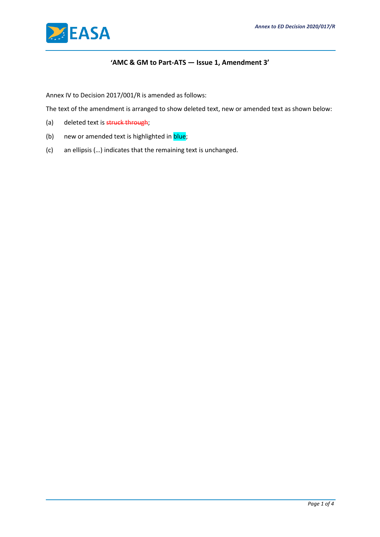

# **'AMC & GM to Part-ATS — Issue 1, Amendment 3'**

Annex IV to Decision 2017/001/R is amended as follows:

The text of the amendment is arranged to show deleted text, new or amended text as shown below:

- (a) deleted text is struck through;
- (b) new or amended text is highlighted in **blue**;
- (c) an ellipsis (…) indicates that the remaining text is unchanged.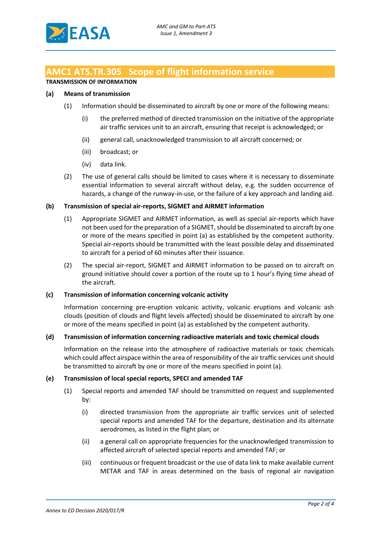# **AMC1 ATS.TR.305 Scope of flight information service**

## **TRANSMISSION OF INFORMATION**

## **(a) Means of transmission**

- (1) Information should be disseminated to aircraft by one or more of the following means:
	- (i) the preferred method of directed transmission on the initiative of the appropriate air traffic services unit to an aircraft, ensuring that receipt is acknowledged; or
	- (ii) general call, unacknowledged transmission to all aircraft concerned; or
	- (iii) broadcast; or
	- (iv) data link.
- (2) The use of general calls should be limited to cases where it is necessary to disseminate essential information to several aircraft without delay, e.g. the sudden occurrence of hazards, a change of the runway-in-use, or the failure of a key approach and landing aid.

#### **(b) Transmission of special air-reports, SIGMET and AIRMET information**

- (1) Appropriate SIGMET and AIRMET information, as well as special air-reports which have not been used for the preparation of a SIGMET, should be disseminated to aircraft by one or more of the means specified in point (a) as established by the competent authority. Special air-reports should be transmitted with the least possible delay and disseminated to aircraft for a period of 60 minutes after their issuance.
- (2) The special air-report, SIGMET and AIRMET information to be passed on to aircraft on ground initiative should cover a portion of the route up to 1 hour's flying time ahead of the aircraft.

#### **(c) Transmission of information concerning volcanic activity**

Information concerning pre-eruption volcanic activity, volcanic eruptions and volcanic ash clouds (position of clouds and flight levels affected) should be disseminated to aircraft by one or more of the means specified in point (a) as established by the competent authority.

#### **(d) Transmission of information concerning radioactive materials and toxic chemical clouds**

Information on the release into the atmosphere of radioactive materials or toxic chemicals which could affect airspace within the area of responsibility of the air traffic services unit should be transmitted to aircraft by one or more of the means specified in point (a).

#### **(e) Transmission of local special reports, SPECI and amended TAF**

- (1) Special reports and amended TAF should be transmitted on request and supplemented by:
	- (i) directed transmission from the appropriate air traffic services unit of selected special reports and amended TAF for the departure, destination and its alternate aerodromes, as listed in the flight plan; or
	- (ii) a general call on appropriate frequencies for the unacknowledged transmission to affected aircraft of selected special reports and amended TAF; or
	- (iii) continuous or frequent broadcast or the use of data link to make available current METAR and TAF in areas determined on the basis of regional air navigation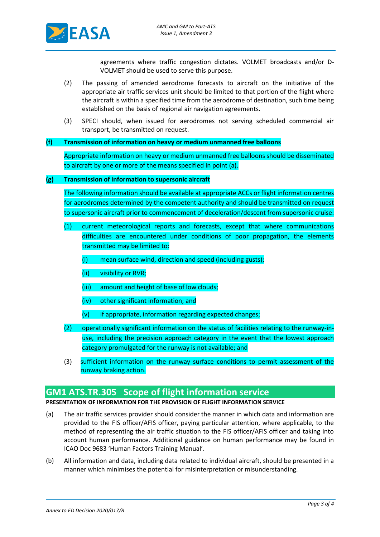

agreements where traffic congestion dictates. VOLMET broadcasts and/or D-VOLMET should be used to serve this purpose.

- (2) The passing of amended aerodrome forecasts to aircraft on the initiative of the appropriate air traffic services unit should be limited to that portion of the flight where the aircraft is within a specified time from the aerodrome of destination, such time being established on the basis of regional air navigation agreements.
- (3) SPECI should, when issued for aerodromes not serving scheduled commercial air transport, be transmitted on request.

#### **(f) Transmission of information on heavy or medium unmanned free balloons**

Appropriate information on heavy or medium unmanned free balloons should be disseminated to aircraft by one or more of the means specified in point (a).

### **(g) Transmission of information to supersonic aircraft**

The following information should be available at appropriate ACCs or flight information centres for aerodromes determined by the competent authority and should be transmitted on request to supersonic aircraft prior to commencement of deceleration/descent from supersonic cruise:

- (1) current meteorological reports and forecasts, except that where communications difficulties are encountered under conditions of poor propagation, the elements transmitted may be limited to:
	- (i) mean surface wind, direction and speed (including gusts);
	- (ii) visibility or RVR;
	- (iii) amount and height of base of low clouds;
	- (iv) other significant information; and
	- $(v)$  if appropriate, information regarding expected changes;
- (2) operationally significant information on the status of facilities relating to the runway-inuse, including the precision approach category in the event that the lowest approach category promulgated for the runway is not available; and
- (3) sufficient information on the runway surface conditions to permit assessment of the runway braking action.

## **GM1 ATS.TR.305 Scope of flight information service**

#### **PRESENTATION OF INFORMATION FOR THE PROVISION OF FLIGHT INFORMATION SERVICE**

- (a) The air traffic services provider should consider the manner in which data and information are provided to the FIS officer/AFIS officer, paying particular attention, where applicable, to the method of representing the air traffic situation to the FIS officer/AFIS officer and taking into account human performance. Additional guidance on human performance may be found in ICAO Doc 9683 'Human Factors Training Manual'.
- (b) All information and data, including data related to individual aircraft, should be presented in a manner which minimises the potential for misinterpretation or misunderstanding.